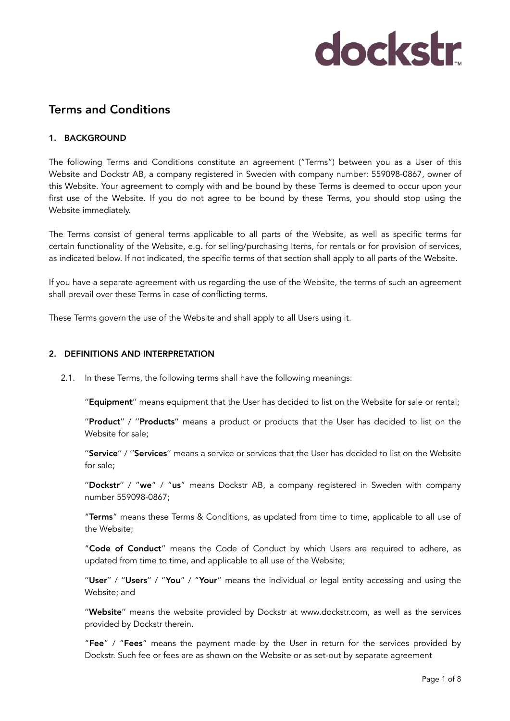### Terms and Conditions

#### 1. BACKGROUND

The following Terms and Conditions constitute an agreement ("Terms") between you as a User of this Website and Dockstr AB, a company registered in Sweden with company number: 559098-0867, owner of this Website. Your agreement to comply with and be bound by these Terms is deemed to occur upon your first use of the Website. If you do not agree to be bound by these Terms, you should stop using the Website immediately.

The Terms consist of general terms applicable to all parts of the Website, as well as specific terms for certain functionality of the Website, e.g. for selling/purchasing Items, for rentals or for provision of services, as indicated below. If not indicated, the specific terms of that section shall apply to all parts of the Website.

If you have a separate agreement with us regarding the use of the Website, the terms of such an agreement shall prevail over these Terms in case of conflicting terms.

These Terms govern the use of the Website and shall apply to all Users using it.

#### 2. DEFINITIONS AND INTERPRETATION

2.1. In these Terms, the following terms shall have the following meanings:

''Equipment'' means equipment that the User has decided to list on the Website for sale or rental;

"Product" / "Products" means a product or products that the User has decided to list on the Website for sale;

"Service" / "Services" means a service or services that the User has decided to list on the Website for sale;

"Dockstr" / "we" / "us" means Dockstr AB, a company registered in Sweden with company number 559098-0867;

"Terms" means these Terms & Conditions, as updated from time to time, applicable to all use of the Website;

"Code of Conduct" means the Code of Conduct by which Users are required to adhere, as updated from time to time, and applicable to all use of the Website;

"User" / "Users" / "You" / "Your" means the individual or legal entity accessing and using the Website; and

''Website'' means the website provided by Dockstr at www.dockstr.com, as well as the services provided by Dockstr therein.

"Fee" / "Fees" means the payment made by the User in return for the services provided by Dockstr. Such fee or fees are as shown on the Website or as set-out by separate agreement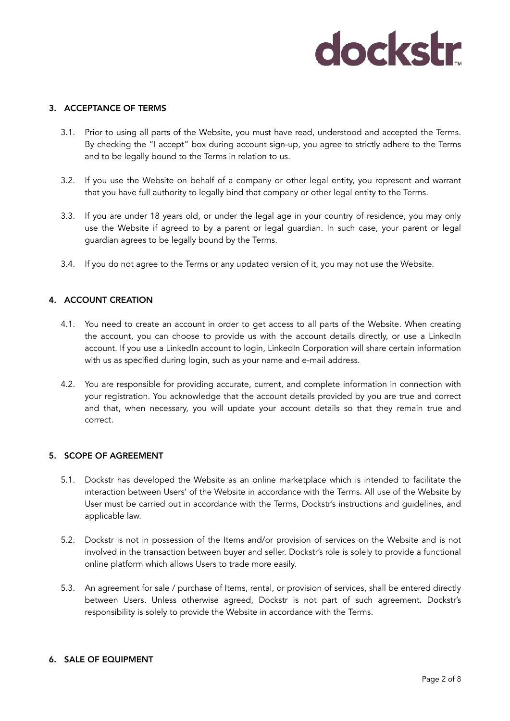#### 3. ACCEPTANCE OF TERMS

- 3.1. Prior to using all parts of the Website, you must have read, understood and accepted the Terms. By checking the "I accept" box during account sign-up, you agree to strictly adhere to the Terms and to be legally bound to the Terms in relation to us.
- 3.2. If you use the Website on behalf of a company or other legal entity, you represent and warrant that you have full authority to legally bind that company or other legal entity to the Terms.
- 3.3. If you are under 18 years old, or under the legal age in your country of residence, you may only use the Website if agreed to by a parent or legal guardian. In such case, your parent or legal guardian agrees to be legally bound by the Terms.
- 3.4. If you do not agree to the Terms or any updated version of it, you may not use the Website.

#### 4. ACCOUNT CREATION

- 4.1. You need to create an account in order to get access to all parts of the Website. When creating the account, you can choose to provide us with the account details directly, or use a LinkedIn account. If you use a LinkedIn account to login, LinkedIn Corporation will share certain information with us as specified during login, such as your name and e-mail address.
- 4.2. You are responsible for providing accurate, current, and complete information in connection with your registration. You acknowledge that the account details provided by you are true and correct and that, when necessary, you will update your account details so that they remain true and correct.

#### 5. SCOPE OF AGREEMENT

- 5.1. Dockstr has developed the Website as an online marketplace which is intended to facilitate the interaction between Users' of the Website in accordance with the Terms. All use of the Website by User must be carried out in accordance with the Terms, Dockstr's instructions and guidelines, and applicable law.
- 5.2. Dockstr is not in possession of the Items and/or provision of services on the Website and is not involved in the transaction between buyer and seller. Dockstr's role is solely to provide a functional online platform which allows Users to trade more easily.
- 5.3. An agreement for sale / purchase of Items, rental, or provision of services, shall be entered directly between Users. Unless otherwise agreed, Dockstr is not part of such agreement. Dockstr's responsibility is solely to provide the Website in accordance with the Terms.

#### 6. SALE OF EQUIPMENT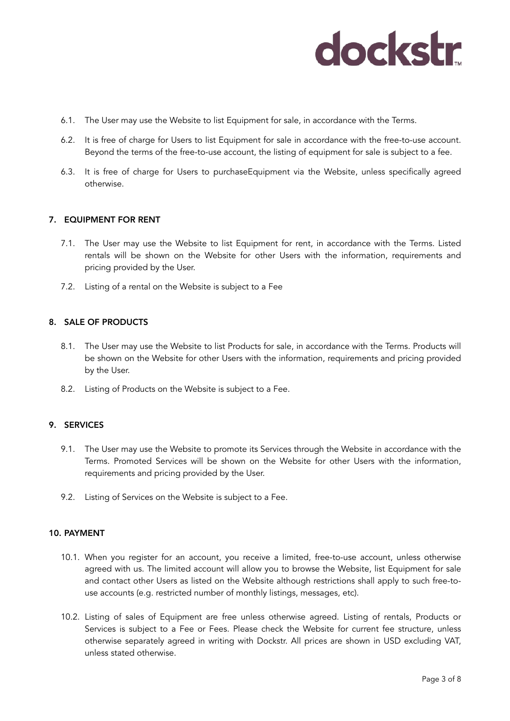- 6.1. The User may use the Website to list Equipment for sale, in accordance with the Terms.
- 6.2. It is free of charge for Users to list Equipment for sale in accordance with the free-to-use account. Beyond the terms of the free-to-use account, the listing of equipment for sale is subject to a fee.
- 6.3. It is free of charge for Users to purchaseEquipment via the Website, unless specifically agreed otherwise.

#### 7. EQUIPMENT FOR RENT

- 7.1. The User may use the Website to list Equipment for rent, in accordance with the Terms. Listed rentals will be shown on the Website for other Users with the information, requirements and pricing provided by the User.
- 7.2. Listing of a rental on the Website is subject to a Fee

#### 8. SALE OF PRODUCTS

- 8.1. The User may use the Website to list Products for sale, in accordance with the Terms. Products will be shown on the Website for other Users with the information, requirements and pricing provided by the User.
- 8.2. Listing of Products on the Website is subject to a Fee.

#### 9. SERVICES

- 9.1. The User may use the Website to promote its Services through the Website in accordance with the Terms. Promoted Services will be shown on the Website for other Users with the information, requirements and pricing provided by the User.
- 9.2. Listing of Services on the Website is subject to a Fee.

#### 10. PAYMENT

- 10.1. When you register for an account, you receive a limited, free-to-use account, unless otherwise agreed with us. The limited account will allow you to browse the Website, list Equipment for sale and contact other Users as listed on the Website although restrictions shall apply to such free-touse accounts (e.g. restricted number of monthly listings, messages, etc).
- 10.2. Listing of sales of Equipment are free unless otherwise agreed. Listing of rentals, Products or Services is subject to a Fee or Fees. Please check the Website for current fee structure, unless otherwise separately agreed in writing with Dockstr. All prices are shown in USD excluding VAT, unless stated otherwise.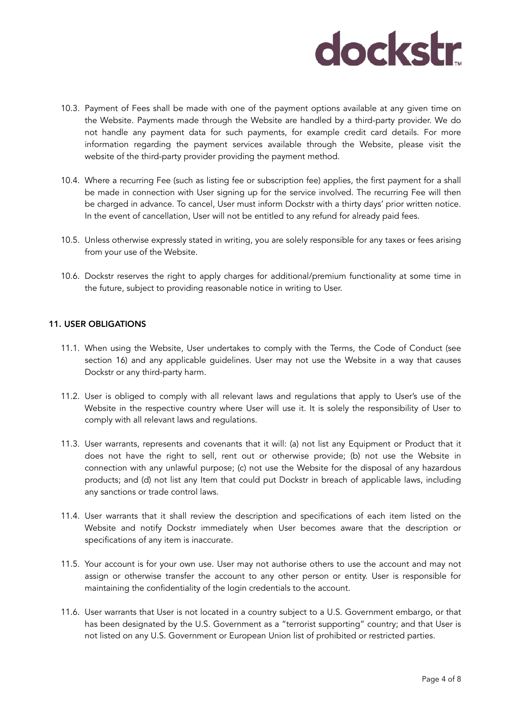- 10.3. Payment of Fees shall be made with one of the payment options available at any given time on the Website. Payments made through the Website are handled by a third-party provider. We do not handle any payment data for such payments, for example credit card details. For more information regarding the payment services available through the Website, please visit the website of the third-party provider providing the payment method.
- 10.4. Where a recurring Fee (such as listing fee or subscription fee) applies, the first payment for a shall be made in connection with User signing up for the service involved. The recurring Fee will then be charged in advance. To cancel, User must inform Dockstr with a thirty days' prior written notice. In the event of cancellation, User will not be entitled to any refund for already paid fees.
- 10.5. Unless otherwise expressly stated in writing, you are solely responsible for any taxes or fees arising from your use of the Website.
- 10.6. Dockstr reserves the right to apply charges for additional/premium functionality at some time in the future, subject to providing reasonable notice in writing to User.

#### 11. USER OBLIGATIONS

- 11.1. When using the Website, User undertakes to comply with the Terms, the Code of Conduct (see section 16) and any applicable guidelines. User may not use the Website in a way that causes Dockstr or any third-party harm.
- 11.2. User is obliged to comply with all relevant laws and regulations that apply to User's use of the Website in the respective country where User will use it. It is solely the responsibility of User to comply with all relevant laws and regulations.
- 11.3. User warrants, represents and covenants that it will: (a) not list any Equipment or Product that it does not have the right to sell, rent out or otherwise provide; (b) not use the Website in connection with any unlawful purpose; (c) not use the Website for the disposal of any hazardous products; and (d) not list any Item that could put Dockstr in breach of applicable laws, including any sanctions or trade control laws.
- 11.4. User warrants that it shall review the description and specifications of each item listed on the Website and notify Dockstr immediately when User becomes aware that the description or specifications of any item is inaccurate.
- 11.5. Your account is for your own use. User may not authorise others to use the account and may not assign or otherwise transfer the account to any other person or entity. User is responsible for maintaining the confidentiality of the login credentials to the account.
- 11.6. User warrants that User is not located in a country subject to a U.S. Government embargo, or that has been designated by the U.S. Government as a "terrorist supporting" country; and that User is not listed on any U.S. Government or European Union list of prohibited or restricted parties.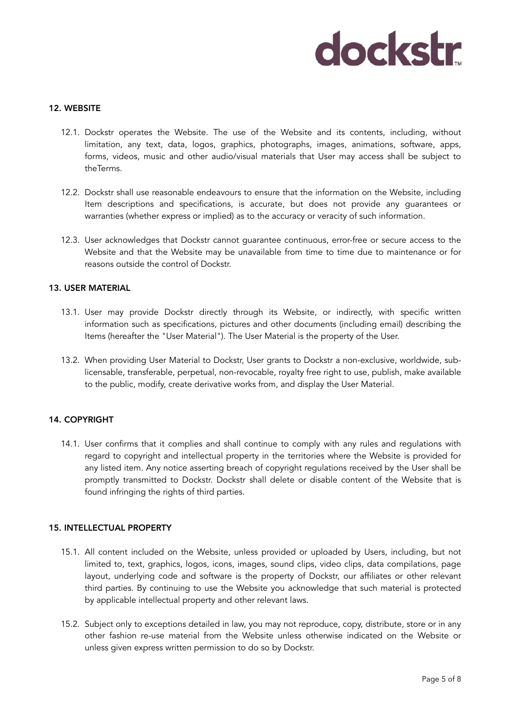#### 12. WEBSITE

- 12.1. Dockstr operates the Website. The use of the Website and its contents, including, without limitation, any text, data, logos, graphics, photographs, images, animations, software, apps, forms, videos, music and other audio/visual materials that User may access shall be subject to theTerms.
- 12.2. Dockstr shall use reasonable endeavours to ensure that the information on the Website, including Item descriptions and specifications, is accurate, but does not provide any guarantees or warranties (whether express or implied) as to the accuracy or veracity of such information.
- 12.3. User acknowledges that Dockstr cannot guarantee continuous, error-free or secure access to the Website and that the Website may be unavailable from time to time due to maintenance or for reasons outside the control of Dockstr.

#### 13. USER MATERIAL

- 13.1. User may provide Dockstr directly through its Website, or indirectly, with specific written information such as specifications, pictures and other documents (including email) describing the Items (hereafter the "User Material"). The User Material is the property of the User.
- 13.2. When providing User Material to Dockstr, User grants to Dockstr a non-exclusive, worldwide, sublicensable, transferable, perpetual, non-revocable, royalty free right to use, publish, make available to the public, modify, create derivative works from, and display the User Material.

#### 14. COPYRIGHT

14.1. User confirms that it complies and shall continue to comply with any rules and regulations with regard to copyright and intellectual property in the territories where the Website is provided for any listed item. Any notice asserting breach of copyright regulations received by the User shall be promptly transmitted to Dockstr. Dockstr shall delete or disable content of the Website that is found infringing the rights of third parties.

#### 15. INTELLECTUAL PROPERTY

- 15.1. All content included on the Website, unless provided or uploaded by Users, including, but not limited to, text, graphics, logos, icons, images, sound clips, video clips, data compilations, page layout, underlying code and software is the property of Dockstr, our affiliates or other relevant third parties. By continuing to use the Website you acknowledge that such material is protected by applicable intellectual property and other relevant laws.
- 15.2. Subject only to exceptions detailed in law, you may not reproduce, copy, distribute, store or in any other fashion re-use material from the Website unless otherwise indicated on the Website or unless given express written permission to do so by Dockstr.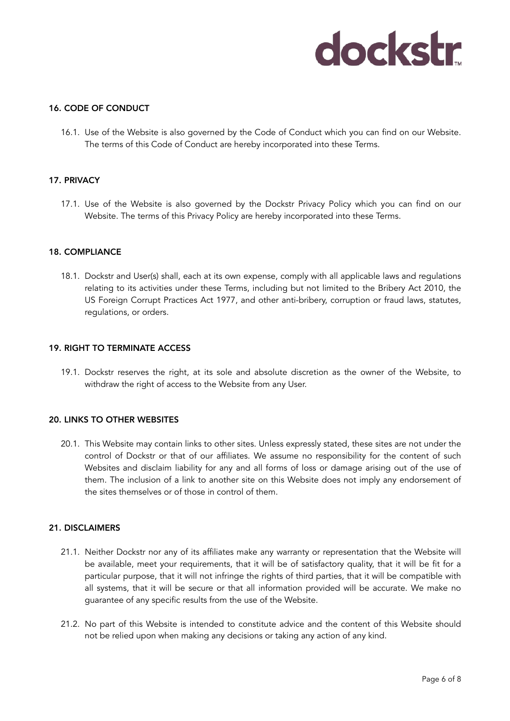#### 16. CODE OF CONDUCT

16.1. Use of the Website is also governed by the Code of Conduct which you can find on our Website. The terms of this Code of Conduct are hereby incorporated into these Terms.

#### 17. PRIVACY

17.1. Use of the Website is also governed by the Dockstr Privacy Policy which you can find on our Website. The terms of this Privacy Policy are hereby incorporated into these Terms.

#### 18. COMPLIANCE

18.1. Dockstr and User(s) shall, each at its own expense, comply with all applicable laws and regulations relating to its activities under these Terms, including but not limited to the Bribery Act 2010, the US Foreign Corrupt Practices Act 1977, and other anti-bribery, corruption or fraud laws, statutes, regulations, or orders.

#### 19. RIGHT TO TERMINATE ACCESS

19.1. Dockstr reserves the right, at its sole and absolute discretion as the owner of the Website, to withdraw the right of access to the Website from any User.

#### 20. LINKS TO OTHER WEBSITES

20.1. This Website may contain links to other sites. Unless expressly stated, these sites are not under the control of Dockstr or that of our affiliates. We assume no responsibility for the content of such Websites and disclaim liability for any and all forms of loss or damage arising out of the use of them. The inclusion of a link to another site on this Website does not imply any endorsement of the sites themselves or of those in control of them.

#### 21. DISCLAIMERS

- 21.1. Neither Dockstr nor any of its affiliates make any warranty or representation that the Website will be available, meet your requirements, that it will be of satisfactory quality, that it will be fit for a particular purpose, that it will not infringe the rights of third parties, that it will be compatible with all systems, that it will be secure or that all information provided will be accurate. We make no guarantee of any specific results from the use of the Website.
- 21.2. No part of this Website is intended to constitute advice and the content of this Website should not be relied upon when making any decisions or taking any action of any kind.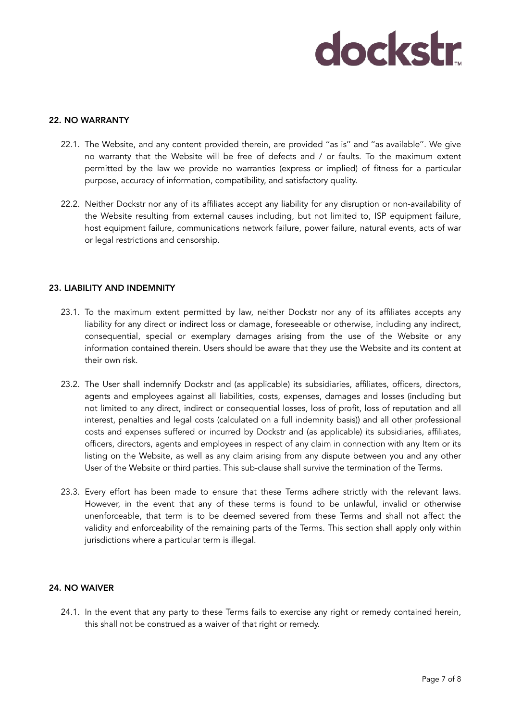#### 22. NO WARRANTY

- 22.1. The Website, and any content provided therein, are provided ''as is'' and ''as available''. We give no warranty that the Website will be free of defects and / or faults. To the maximum extent permitted by the law we provide no warranties (express or implied) of fitness for a particular purpose, accuracy of information, compatibility, and satisfactory quality.
- 22.2. Neither Dockstr nor any of its affiliates accept any liability for any disruption or non-availability of the Website resulting from external causes including, but not limited to, ISP equipment failure, host equipment failure, communications network failure, power failure, natural events, acts of war or legal restrictions and censorship.

#### 23. LIABILITY AND INDEMNITY

- 23.1. To the maximum extent permitted by law, neither Dockstr nor any of its affiliates accepts any liability for any direct or indirect loss or damage, foreseeable or otherwise, including any indirect, consequential, special or exemplary damages arising from the use of the Website or any information contained therein. Users should be aware that they use the Website and its content at their own risk.
- 23.2. The User shall indemnify Dockstr and (as applicable) its subsidiaries, affiliates, officers, directors, agents and employees against all liabilities, costs, expenses, damages and losses (including but not limited to any direct, indirect or consequential losses, loss of profit, loss of reputation and all interest, penalties and legal costs (calculated on a full indemnity basis)) and all other professional costs and expenses suffered or incurred by Dockstr and (as applicable) its subsidiaries, affiliates, officers, directors, agents and employees in respect of any claim in connection with any Item or its listing on the Website, as well as any claim arising from any dispute between you and any other User of the Website or third parties. This sub-clause shall survive the termination of the Terms.
- 23.3. Every effort has been made to ensure that these Terms adhere strictly with the relevant laws. However, in the event that any of these terms is found to be unlawful, invalid or otherwise unenforceable, that term is to be deemed severed from these Terms and shall not affect the validity and enforceability of the remaining parts of the Terms. This section shall apply only within jurisdictions where a particular term is illegal.

#### 24. NO WAIVER

24.1. In the event that any party to these Terms fails to exercise any right or remedy contained herein, this shall not be construed as a waiver of that right or remedy.